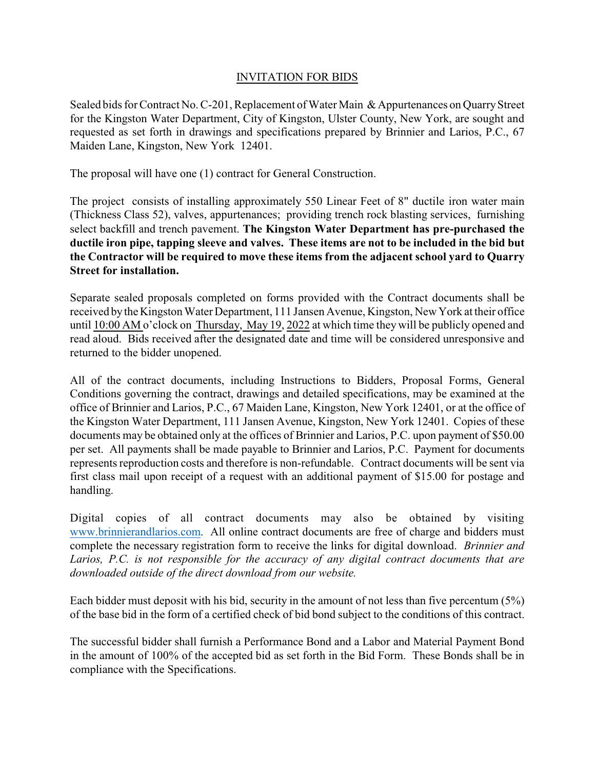## INVITATION FOR BIDS

Sealed bids for Contract No. C-201, Replacement of Water Main & Appurtenances on Quarry Street for the Kingston Water Department, City of Kingston, Ulster County, New York, are sought and requested as set forth in drawings and specifications prepared by Brinnier and Larios, P.C., 67 Maiden Lane, Kingston, New York 12401.

The proposal will have one (1) contract for General Construction.

The project consists of installing approximately 550 Linear Feet of 8" ductile iron water main (Thickness Class 52), valves, appurtenances; providing trench rock blasting services, furnishing select backfill and trench pavement. **The Kingston Water Department has pre-purchased the ductile iron pipe, tapping sleeve and valves. These items are not to be included in the bid but the Contractor will be required to move these items from the adjacent school yard to Quarry Street for installation.**

Separate sealed proposals completed on forms provided with the Contract documents shall be received bythe Kingston Water Department, 111 Jansen Avenue, Kingston, New York at their office until 10:00 AM o'clock on Thursday, May 19, 2022 at which time they will be publicly opened and read aloud. Bids received after the designated date and time will be considered unresponsive and returned to the bidder unopened.

All of the contract documents, including Instructions to Bidders, Proposal Forms, General Conditions governing the contract, drawings and detailed specifications, may be examined at the office of Brinnier and Larios, P.C., 67 Maiden Lane, Kingston, New York 12401, or at the office of the Kingston Water Department, 111 Jansen Avenue, Kingston, New York 12401. Copies of these documents may be obtained only at the offices of Brinnier and Larios, P.C. upon payment of \$50.00 per set. All payments shall be made payable to Brinnier and Larios, P.C. Payment for documents represents reproduction costs and therefore is non-refundable. Contract documents will be sent via first class mail upon receipt of a request with an additional payment of \$15.00 for postage and handling.

Digital copies of all contract documents may also be obtained by visiting [www.brinnierandlarios.com](http://www.brinnierandlarios.com). All online contract documents are free of charge and bidders must complete the necessary registration form to receive the links for digital download. *Brinnier and Larios, P.C. is not responsible for the accuracy of any digital contract documents that are downloaded outside of the direct download from our website.*

Each bidder must deposit with his bid, security in the amount of not less than five percentum (5%) of the base bid in the form of a certified check of bid bond subject to the conditions of this contract.

The successful bidder shall furnish a Performance Bond and a Labor and Material Payment Bond in the amount of 100% of the accepted bid as set forth in the Bid Form. These Bonds shall be in compliance with the Specifications.